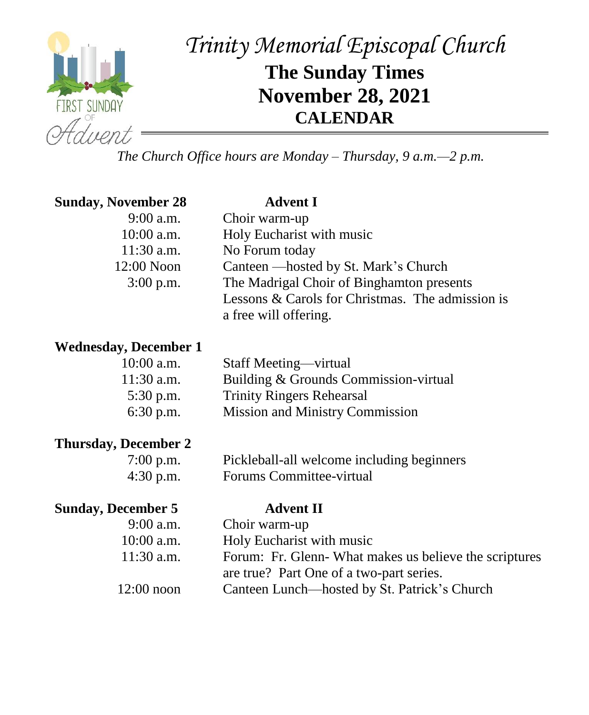

# *Trinity Memorial Episcopal Church* **The Sunday Times November 28, 2021 CALENDAR**

*The Church Office hours are Monday – Thursday, 9 a.m.—2 p.m.*

| <b>Sunday, November 28</b> | <b>Advent I</b>                                  |  |  |  |
|----------------------------|--------------------------------------------------|--|--|--|
| $9:00$ a.m.                | Choir warm-up                                    |  |  |  |
| $10:00$ a.m.               | Holy Eucharist with music                        |  |  |  |
| $11:30$ a.m.               | No Forum today                                   |  |  |  |
| 12:00 Noon                 | Canteen — hosted by St. Mark's Church            |  |  |  |
| $3:00$ p.m.                | The Madrigal Choir of Binghamton presents        |  |  |  |
|                            | Lessons & Carols for Christmas. The admission is |  |  |  |
|                            | a free will offering.                            |  |  |  |

#### **Wednesday, December 1**

| $10:00$ a.m. | Staff Meeting—virtual                  |
|--------------|----------------------------------------|
| $11:30$ a.m. | Building & Grounds Commission-virtual  |
| $5:30$ p.m.  | <b>Trinity Ringers Rehearsal</b>       |
| $6:30$ p.m.  | <b>Mission and Ministry Commission</b> |
|              |                                        |

#### **Thursday, December 2**

| $7:00$ p.m. | Pickleball-all welcome including beginners |
|-------------|--------------------------------------------|
| $4:30$ p.m. | Forums Committee-virtual                   |

#### **Sunday, December 5**

| $9:00$ a.m.  | Choir warm-up                                         |
|--------------|-------------------------------------------------------|
| $10:00$ a.m. | Holy Eucharist with music                             |
| $11:30$ a.m. | Forum: Fr. Glenn-What makes us believe the scriptures |
|              | are true? Part One of a two-part series.              |
| $12:00$ noon | Canteen Lunch—hosted by St. Patrick's Church          |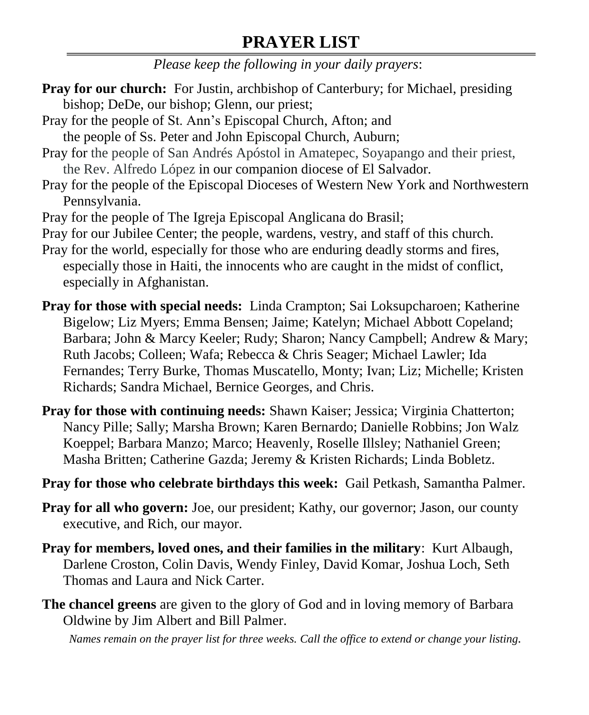## **PRAYER LIST**

*Please keep the following in your daily prayers*:

- **Pray for our church:** For Justin, archbishop of Canterbury; for Michael, presiding bishop; DeDe, our bishop; Glenn, our priest;
- Pray for the people of St. Ann's Episcopal Church, Afton; and the people of Ss. Peter and John Episcopal Church, Auburn;
- Pray for the people of San Andrés Apóstol in Amatepec, Soyapango and their priest, the Rev. Alfredo López in our companion diocese of El Salvador.
- Pray for the people of the Episcopal Dioceses of Western New York and Northwestern Pennsylvania.
- Pray for the people of The Igreja Episcopal Anglicana do Brasil;

Pray for our Jubilee Center; the people, wardens, vestry, and staff of this church.

- Pray for the world, especially for those who are enduring deadly storms and fires, especially those in Haiti, the innocents who are caught in the midst of conflict, especially in Afghanistan.
- **Pray for those with special needs:** Linda Crampton; Sai Loksupcharoen; Katherine Bigelow; Liz Myers; Emma Bensen; Jaime; Katelyn; Michael Abbott Copeland; Barbara; John & Marcy Keeler; Rudy; Sharon; Nancy Campbell; Andrew & Mary; Ruth Jacobs; Colleen; Wafa; Rebecca & Chris Seager; Michael Lawler; Ida Fernandes; Terry Burke, Thomas Muscatello, Monty; Ivan; Liz; Michelle; Kristen Richards; Sandra Michael, Bernice Georges, and Chris.
- **Pray for those with continuing needs:** Shawn Kaiser; Jessica; Virginia Chatterton; Nancy Pille; Sally; Marsha Brown; Karen Bernardo; Danielle Robbins; Jon Walz Koeppel; Barbara Manzo; Marco; Heavenly, Roselle Illsley; Nathaniel Green; Masha Britten; Catherine Gazda; Jeremy & Kristen Richards; Linda Bobletz.
- **Pray for those who celebrate birthdays this week:** Gail Petkash, Samantha Palmer.
- **Pray for all who govern:** Joe, our president; Kathy, our governor; Jason, our county executive, and Rich, our mayor.
- **Pray for members, loved ones, and their families in the military**: Kurt Albaugh, Darlene Croston, Colin Davis, Wendy Finley, David Komar, Joshua Loch, Seth Thomas and Laura and Nick Carter.
- **The chancel greens** are given to the glory of God and in loving memory of Barbara Oldwine by Jim Albert and Bill Palmer.

*Names remain on the prayer list for three weeks. Call the office to extend or change your listing.*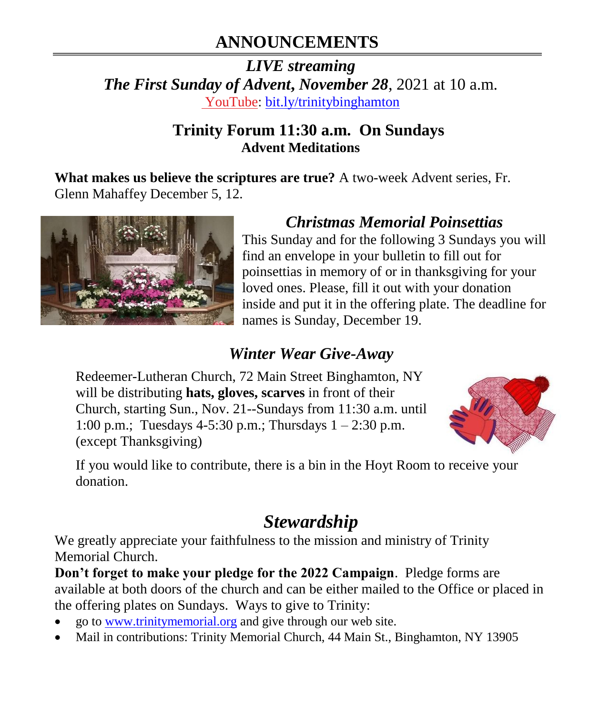# **ANNOUNCEMENTS**

*LIVE streaming The First Sunday of Advent***,** *November 28*, 2021 at 10 a.m. [YouTube:](https://bit.ly/trinitybinghamton) [bit.ly/trinitybinghamton](https://bit.ly/trinitybinghamton)

### **Trinity Forum 11:30 a.m. On Sundays Advent Meditations**

**What makes us believe the scriptures are true?** A two-week Advent series, Fr. Glenn Mahaffey December 5, 12.



### *Christmas Memorial Poinsettias*

This Sunday and for the following 3 Sundays you will find an envelope in your bulletin to fill out for poinsettias in memory of or in thanksgiving for your loved ones. Please, fill it out with your donation inside and put it in the offering plate. The deadline for names is Sunday, December 19.

### *Winter Wear Give-Away*

Redeemer-Lutheran Church, 72 Main Street Binghamton, NY will be distributing **hats, gloves, scarves** in front of their Church, starting Sun., Nov. 21--Sundays from 11:30 a.m. until 1:00 p.m.; Tuesdays 4-5:30 p.m.; Thursdays 1 – 2:30 p.m. (except Thanksgiving)



If you would like to contribute, there is a bin in the Hoyt Room to receive your donation.

# *Stewardship*

We greatly appreciate your faithfulness to the mission and ministry of Trinity Memorial Church.

**Don't forget to make your pledge for the 2022 Campaign**. Pledge forms are available at both doors of the church and can be either mailed to the Office or placed in the offering plates on Sundays. Ways to give to Trinity:

- go to [www.trinitymemorial.org](http://www.trinitymemorial.org/) and give through our web site.
- Mail in contributions: Trinity Memorial Church, 44 Main St., Binghamton, NY 13905